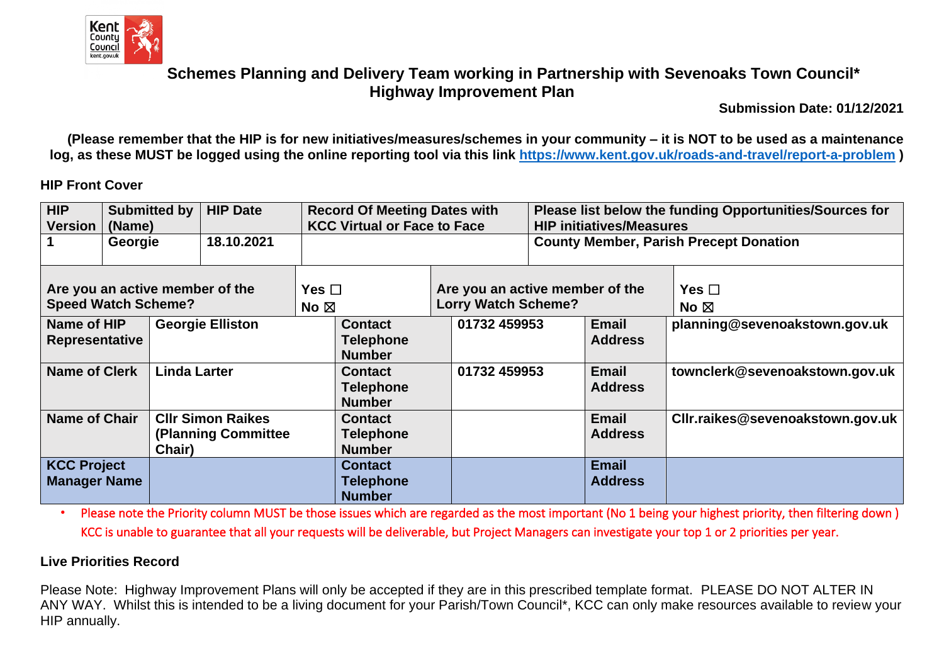

**Submission Date: 01/12/2021**

**(Please remember that the HIP is for new initiatives/measures/schemes in your community – it is NOT to be used as a maintenance log, as these MUST be logged using the online reporting tool via this link [https://www.kent.gov.uk/roads-and-travel/report-a-problem](https://eur01.safelinks.protection.outlook.com/?url=https%3A%2F%2Fwww.kent.gov.uk%2Froads-and-travel%2Freport-a-problem&data=04%7C01%7Cmichelle.matthews%40kent.gov.uk%7C8f5777e818a747b890eb08d8ccd7d04c%7C3253a20dc7354bfea8b73e6ab37f5f90%7C0%7C0%7C637484574569286803%7CUnknown%7CTWFpbGZsb3d8eyJWIjoiMC4wLjAwMDAiLCJQIjoiV2luMzIiLCJBTiI6Ik1haWwiLCJXVCI6Mn0%3D%7C1000&sdata=bR7Tc4Fnh8uvgyPWLI3h16CQ6xusl6p4d1MSX3agfdw%3D&reserved=0) )**

#### **HIP Front Cover**

| HIP<br>Submitted by<br><b>Version</b><br>(Name)                                           |  | <b>HIP Date</b>                              | <b>Record Of Meeting Dates with</b><br><b>KCC Virtual or Face to Face</b> |  |                                                            | Please list below the funding Opportunities/Sources for<br><b>HIP initiatives/Measures</b> |                                 |                                  |                              |
|-------------------------------------------------------------------------------------------|--|----------------------------------------------|---------------------------------------------------------------------------|--|------------------------------------------------------------|--------------------------------------------------------------------------------------------|---------------------------------|----------------------------------|------------------------------|
| $\mathbf 1$<br>18.10.2021<br>Georgie                                                      |  |                                              |                                                                           |  | <b>County Member, Parish Precept Donation</b>              |                                                                                            |                                 |                                  |                              |
| Are you an active member of the<br><b>Speed Watch Scheme?</b>                             |  |                                              |                                                                           |  | Yes $\Box$<br><b>Lorry Watch Scheme?</b><br>No $\boxtimes$ |                                                                                            | Are you an active member of the |                                  | Yes $\Box$<br>No $\boxtimes$ |
| <b>Georgie Elliston</b><br>Name of HIP<br><b>Representative</b>                           |  |                                              | 01732 459953<br><b>Contact</b><br><b>Telephone</b><br><b>Number</b>       |  |                                                            | <b>Email</b><br><b>Address</b>                                                             | planning@sevenoakstown.gov.uk   |                                  |                              |
| <b>Name of Clerk</b><br><b>Linda Larter</b>                                               |  |                                              | <b>Contact</b><br><b>Telephone</b><br><b>Number</b>                       |  | 01732 459953                                               |                                                                                            | <b>Email</b><br><b>Address</b>  | townclerk@sevenoakstown.gov.uk   |                              |
| <b>Name of Chair</b><br><b>CIIr Simon Raikes</b><br><b>(Planning Committee)</b><br>Chair) |  |                                              | <b>Contact</b><br><b>Telephone</b><br><b>Number</b>                       |  |                                                            |                                                                                            | <b>Email</b><br><b>Address</b>  | CIIr.raikes@sevenoakstown.gov.uk |                              |
| <b>KCC Project</b><br><b>Manager Name</b>                                                 |  | <b>Contact</b><br>Telephone<br><b>Number</b> |                                                                           |  |                                                            | <b>Email</b><br><b>Address</b>                                                             |                                 |                                  |                              |

• Please note the Priority column MUST be those issues which are regarded as the most important (No 1 being your highest priority, then filtering down ) KCC is unable to guarantee that all your requests will be deliverable, but Project Managers can investigate your top 1 or 2 priorities per year.

#### **Live Priorities Record**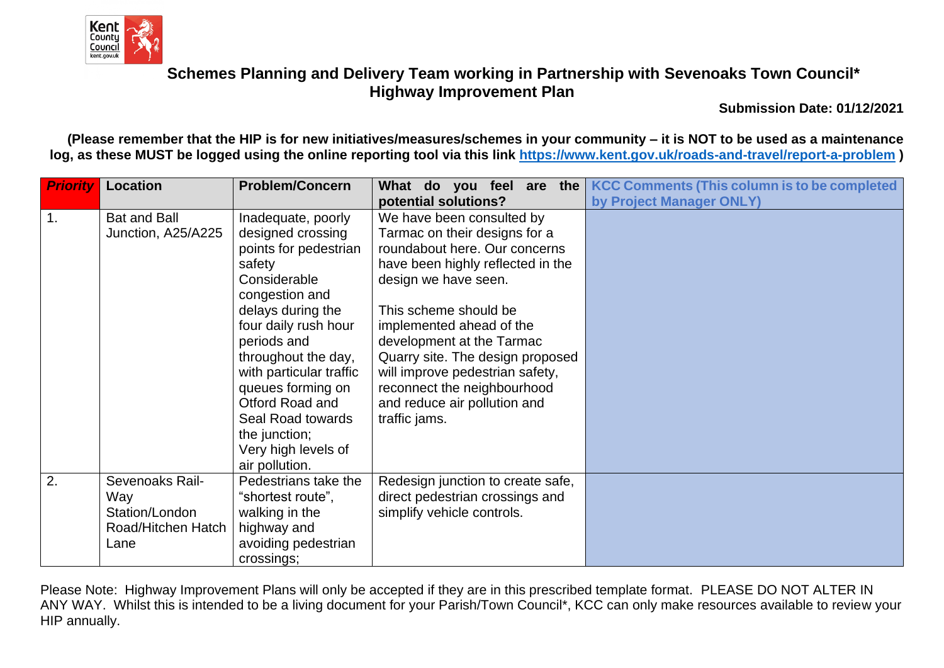

**Submission Date: 01/12/2021**

**(Please remember that the HIP is for new initiatives/measures/schemes in your community – it is NOT to be used as a maintenance log, as these MUST be logged using the online reporting tool via this link [https://www.kent.gov.uk/roads-and-travel/report-a-problem](https://eur01.safelinks.protection.outlook.com/?url=https%3A%2F%2Fwww.kent.gov.uk%2Froads-and-travel%2Freport-a-problem&data=04%7C01%7Cmichelle.matthews%40kent.gov.uk%7C8f5777e818a747b890eb08d8ccd7d04c%7C3253a20dc7354bfea8b73e6ab37f5f90%7C0%7C0%7C637484574569286803%7CUnknown%7CTWFpbGZsb3d8eyJWIjoiMC4wLjAwMDAiLCJQIjoiV2luMzIiLCJBTiI6Ik1haWwiLCJXVCI6Mn0%3D%7C1000&sdata=bR7Tc4Fnh8uvgyPWLI3h16CQ6xusl6p4d1MSX3agfdw%3D&reserved=0) )**

| <b>Priority</b> | <b>Problem/Concern</b><br>Location                                     |                                                                                                                                                                                                                                                                                                                                                   | What do you feel<br>are the                                                                                                                                                                                                                                                                                                                                                                       | <b>KCC Comments (This column is to be completed)</b> |
|-----------------|------------------------------------------------------------------------|---------------------------------------------------------------------------------------------------------------------------------------------------------------------------------------------------------------------------------------------------------------------------------------------------------------------------------------------------|---------------------------------------------------------------------------------------------------------------------------------------------------------------------------------------------------------------------------------------------------------------------------------------------------------------------------------------------------------------------------------------------------|------------------------------------------------------|
|                 |                                                                        |                                                                                                                                                                                                                                                                                                                                                   | potential solutions?                                                                                                                                                                                                                                                                                                                                                                              | by Project Manager ONLY)                             |
| $\mathbf 1$ .   | <b>Bat and Ball</b><br>Junction, A25/A225                              | Inadequate, poorly<br>designed crossing<br>points for pedestrian<br>safety<br>Considerable<br>congestion and<br>delays during the<br>four daily rush hour<br>periods and<br>throughout the day,<br>with particular traffic<br>queues forming on<br>Otford Road and<br>Seal Road towards<br>the junction;<br>Very high levels of<br>air pollution. | We have been consulted by<br>Tarmac on their designs for a<br>roundabout here. Our concerns<br>have been highly reflected in the<br>design we have seen.<br>This scheme should be<br>implemented ahead of the<br>development at the Tarmac<br>Quarry site. The design proposed<br>will improve pedestrian safety,<br>reconnect the neighbourhood<br>and reduce air pollution and<br>traffic jams. |                                                      |
| 2.              | Sevenoaks Rail-<br>Way<br>Station/London<br>Road/Hitchen Hatch<br>Lane | Pedestrians take the<br>"shortest route",<br>walking in the<br>highway and<br>avoiding pedestrian<br>crossings;                                                                                                                                                                                                                                   | Redesign junction to create safe,<br>direct pedestrian crossings and<br>simplify vehicle controls.                                                                                                                                                                                                                                                                                                |                                                      |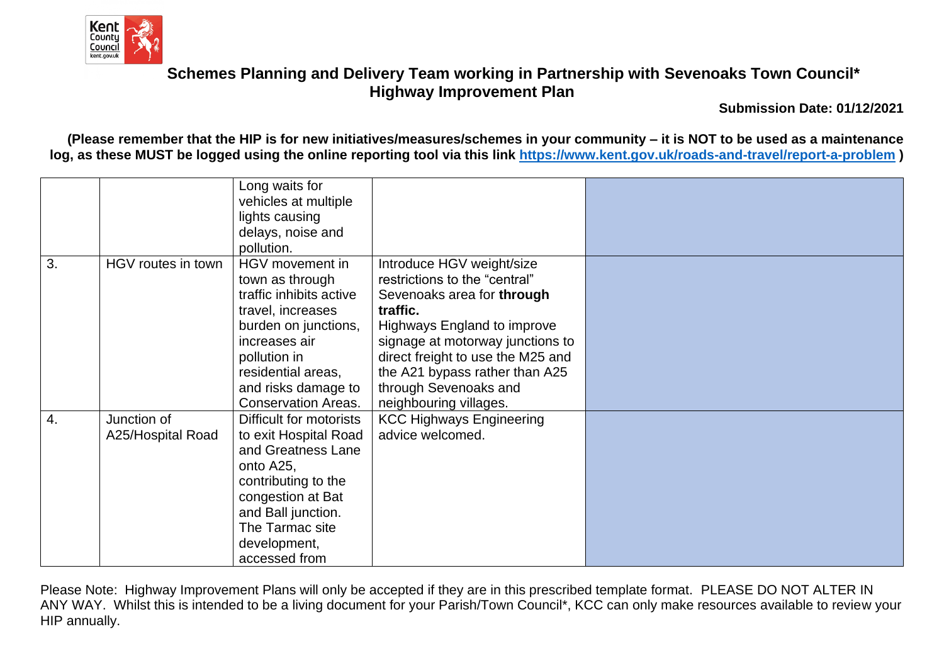

**Submission Date: 01/12/2021**

**(Please remember that the HIP is for new initiatives/measures/schemes in your community – it is NOT to be used as a maintenance log, as these MUST be logged using the online reporting tool via this link [https://www.kent.gov.uk/roads-and-travel/report-a-problem](https://eur01.safelinks.protection.outlook.com/?url=https%3A%2F%2Fwww.kent.gov.uk%2Froads-and-travel%2Freport-a-problem&data=04%7C01%7Cmichelle.matthews%40kent.gov.uk%7C8f5777e818a747b890eb08d8ccd7d04c%7C3253a20dc7354bfea8b73e6ab37f5f90%7C0%7C0%7C637484574569286803%7CUnknown%7CTWFpbGZsb3d8eyJWIjoiMC4wLjAwMDAiLCJQIjoiV2luMzIiLCJBTiI6Ik1haWwiLCJXVCI6Mn0%3D%7C1000&sdata=bR7Tc4Fnh8uvgyPWLI3h16CQ6xusl6p4d1MSX3agfdw%3D&reserved=0) )**

|                  |                                  | Long waits for<br>vehicles at multiple<br>lights causing<br>delays, noise and<br>pollution.                                                                                                                            |                                                                                                                                                                                                                                                                                                   |  |
|------------------|----------------------------------|------------------------------------------------------------------------------------------------------------------------------------------------------------------------------------------------------------------------|---------------------------------------------------------------------------------------------------------------------------------------------------------------------------------------------------------------------------------------------------------------------------------------------------|--|
| 3.               | HGV routes in town               | HGV movement in<br>town as through<br>traffic inhibits active<br>travel, increases<br>burden on junctions,<br>increases air<br>pollution in<br>residential areas,<br>and risks damage to<br><b>Conservation Areas.</b> | Introduce HGV weight/size<br>restrictions to the "central"<br>Sevenoaks area for through<br>traffic.<br>Highways England to improve<br>signage at motorway junctions to<br>direct freight to use the M25 and<br>the A21 bypass rather than A25<br>through Sevenoaks and<br>neighbouring villages. |  |
| $\overline{4}$ . | Junction of<br>A25/Hospital Road | Difficult for motorists<br>to exit Hospital Road<br>and Greatness Lane<br>onto A25,<br>contributing to the<br>congestion at Bat<br>and Ball junction.<br>The Tarmac site<br>development,<br>accessed from              | <b>KCC Highways Engineering</b><br>advice welcomed.                                                                                                                                                                                                                                               |  |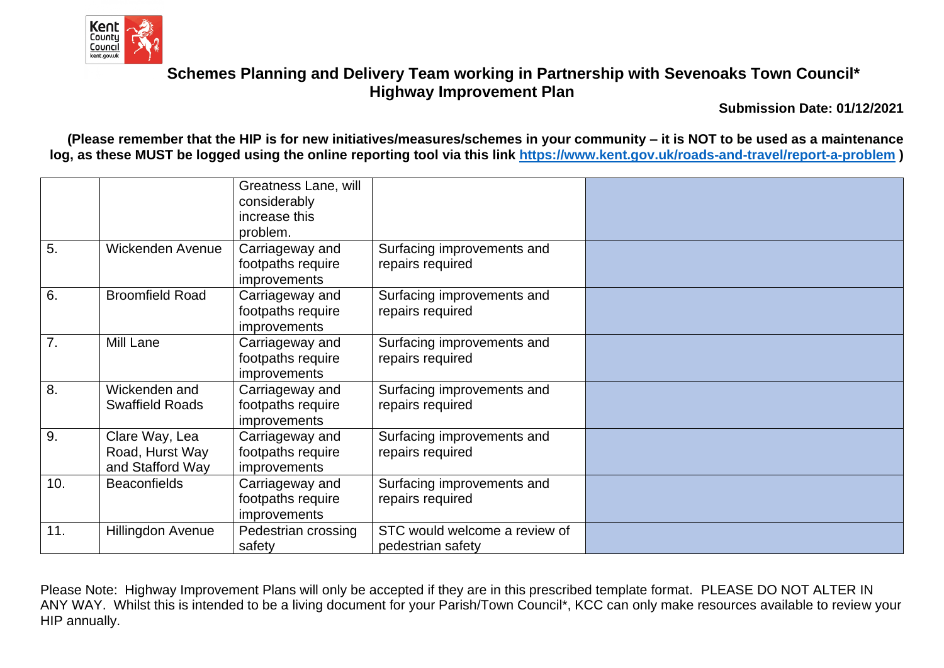

**Submission Date: 01/12/2021**

**(Please remember that the HIP is for new initiatives/measures/schemes in your community – it is NOT to be used as a maintenance log, as these MUST be logged using the online reporting tool via this link [https://www.kent.gov.uk/roads-and-travel/report-a-problem](https://eur01.safelinks.protection.outlook.com/?url=https%3A%2F%2Fwww.kent.gov.uk%2Froads-and-travel%2Freport-a-problem&data=04%7C01%7Cmichelle.matthews%40kent.gov.uk%7C8f5777e818a747b890eb08d8ccd7d04c%7C3253a20dc7354bfea8b73e6ab37f5f90%7C0%7C0%7C637484574569286803%7CUnknown%7CTWFpbGZsb3d8eyJWIjoiMC4wLjAwMDAiLCJQIjoiV2luMzIiLCJBTiI6Ik1haWwiLCJXVCI6Mn0%3D%7C1000&sdata=bR7Tc4Fnh8uvgyPWLI3h16CQ6xusl6p4d1MSX3agfdw%3D&reserved=0) )**

|                  |                                                       | Greatness Lane, will<br>considerably<br>increase this<br>problem. |                                                    |  |
|------------------|-------------------------------------------------------|-------------------------------------------------------------------|----------------------------------------------------|--|
| 5.               | Wickenden Avenue                                      | Carriageway and<br>footpaths require<br><i>improvements</i>       | Surfacing improvements and<br>repairs required     |  |
| 6.               | <b>Broomfield Road</b>                                | Carriageway and<br>footpaths require<br>improvements              | Surfacing improvements and<br>repairs required     |  |
| 7.               | Mill Lane                                             | Carriageway and<br>footpaths require<br><i>improvements</i>       | Surfacing improvements and<br>repairs required     |  |
| $\overline{8}$ . | Wickenden and<br><b>Swaffield Roads</b>               | Carriageway and<br>footpaths require<br><i>improvements</i>       | Surfacing improvements and<br>repairs required     |  |
| 9.               | Clare Way, Lea<br>Road, Hurst Way<br>and Stafford Way | Carriageway and<br>footpaths require<br><i>improvements</i>       | Surfacing improvements and<br>repairs required     |  |
| 10.              | <b>Beaconfields</b>                                   | Carriageway and<br>footpaths require<br><i>improvements</i>       | Surfacing improvements and<br>repairs required     |  |
| 11.              | Hillingdon Avenue                                     | Pedestrian crossing<br>safety                                     | STC would welcome a review of<br>pedestrian safety |  |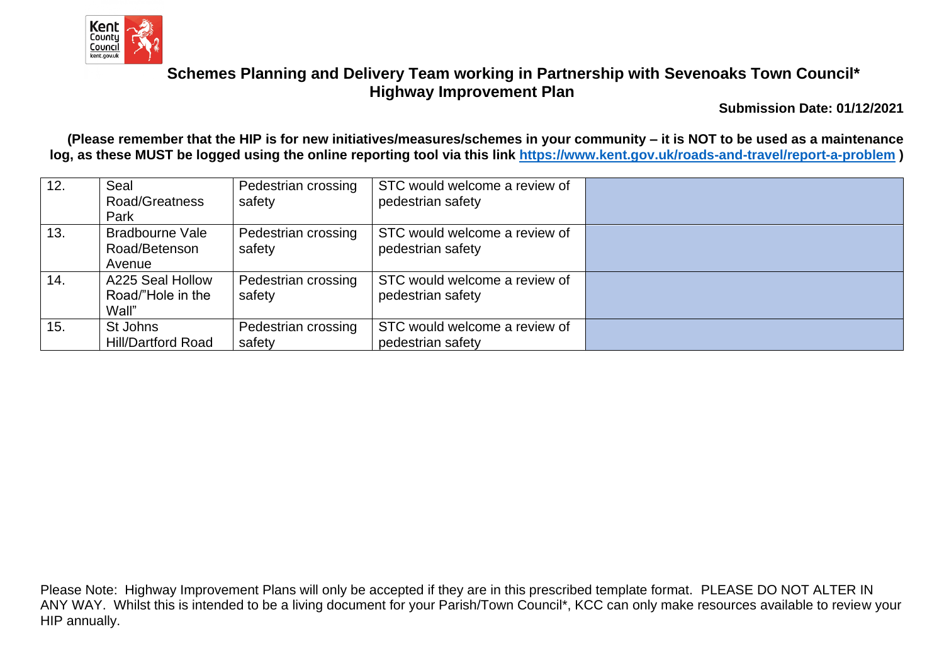

**Submission Date: 01/12/2021**

**(Please remember that the HIP is for new initiatives/measures/schemes in your community – it is NOT to be used as a maintenance log, as these MUST be logged using the online reporting tool via this link [https://www.kent.gov.uk/roads-and-travel/report-a-problem](https://eur01.safelinks.protection.outlook.com/?url=https%3A%2F%2Fwww.kent.gov.uk%2Froads-and-travel%2Freport-a-problem&data=04%7C01%7Cmichelle.matthews%40kent.gov.uk%7C8f5777e818a747b890eb08d8ccd7d04c%7C3253a20dc7354bfea8b73e6ab37f5f90%7C0%7C0%7C637484574569286803%7CUnknown%7CTWFpbGZsb3d8eyJWIjoiMC4wLjAwMDAiLCJQIjoiV2luMzIiLCJBTiI6Ik1haWwiLCJXVCI6Mn0%3D%7C1000&sdata=bR7Tc4Fnh8uvgyPWLI3h16CQ6xusl6p4d1MSX3agfdw%3D&reserved=0) )**

| 12. | Seal                      | Pedestrian crossing | STC would welcome a review of |  |
|-----|---------------------------|---------------------|-------------------------------|--|
|     | Road/Greatness            | safety              | pedestrian safety             |  |
|     | Park                      |                     |                               |  |
| 13. | <b>Bradbourne Vale</b>    | Pedestrian crossing | STC would welcome a review of |  |
|     | Road/Betenson             | safety              | pedestrian safety             |  |
|     | Avenue                    |                     |                               |  |
| 14. | A225 Seal Hollow          | Pedestrian crossing | STC would welcome a review of |  |
|     | Road/"Hole in the         | safety              | pedestrian safety             |  |
|     | Wall"                     |                     |                               |  |
| 15. | St Johns                  | Pedestrian crossing | STC would welcome a review of |  |
|     | <b>Hill/Dartford Road</b> | safety              | pedestrian safety             |  |